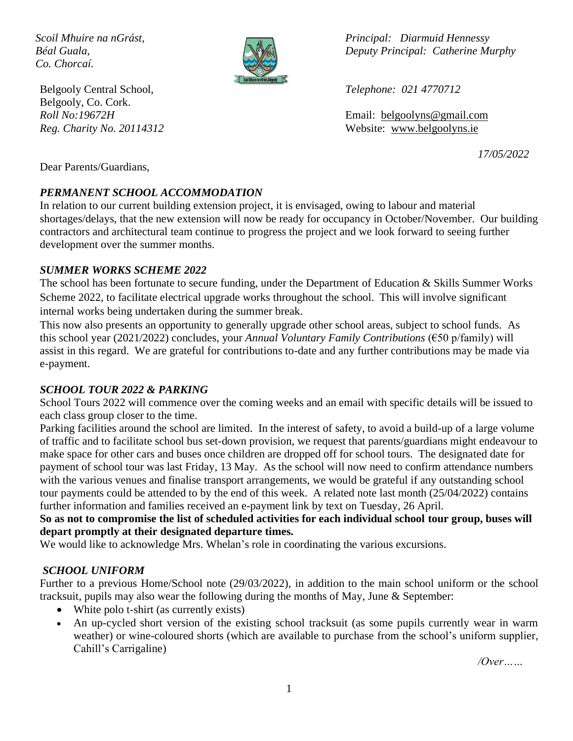*Co. Chorcaí.*



Belgooly Central School, *Telephone: 021 4770712* Belgooly, Co. Cork.

*Scoil Mhuire na nGrást, Principal: Diarmuid Hennessy Béal Guala, Deputy Principal: Catherine Murphy*

*Roll No:19672H* Email: [belgoolyns@gmail.com](mailto:belgoolyns@gmail.com) *Reg. Charity No. 20114312* Website: [www.belgoolyns.ie](http://www.belgoolyns.scoilnet.ie/)

*17/05/2022*

Dear Parents/Guardians,

# *PERMANENT SCHOOL ACCOMMODATION*

In relation to our current building extension project, it is envisaged, owing to labour and material shortages/delays, that the new extension will now be ready for occupancy in October/November. Our building contractors and architectural team continue to progress the project and we look forward to seeing further development over the summer months.

### *SUMMER WORKS SCHEME 2022*

The school has been fortunate to secure funding, under the Department of Education & Skills Summer Works Scheme 2022, to facilitate electrical upgrade works throughout the school. This will involve significant internal works being undertaken during the summer break.

This now also presents an opportunity to generally upgrade other school areas, subject to school funds. As this school year (2021/2022) concludes, your *Annual Voluntary Family Contributions* (€50 p/family) will assist in this regard. We are grateful for contributions to-date and any further contributions may be made via e-payment.

# *SCHOOL TOUR 2022 & PARKING*

School Tours 2022 will commence over the coming weeks and an email with specific details will be issued to each class group closer to the time.

Parking facilities around the school are limited. In the interest of safety, to avoid a build-up of a large volume of traffic and to facilitate school bus set-down provision, we request that parents/guardians might endeavour to make space for other cars and buses once children are dropped off for school tours. The designated date for payment of school tour was last Friday, 13 May. As the school will now need to confirm attendance numbers with the various venues and finalise transport arrangements, we would be grateful if any outstanding school tour payments could be attended to by the end of this week. A related note last month (25/04/2022) contains further information and families received an e-payment link by text on Tuesday, 26 April.

**So as not to compromise the list of scheduled activities for each individual school tour group, buses will depart promptly at their designated departure times.**

We would like to acknowledge Mrs. Whelan's role in coordinating the various excursions.

# *SCHOOL UNIFORM*

Further to a previous Home/School note (29/03/2022), in addition to the main school uniform or the school tracksuit, pupils may also wear the following during the months of May, June & September:

- White polo t-shirt (as currently exists)
- An up-cycled short version of the existing school tracksuit (as some pupils currently wear in warm weather) or wine-coloured shorts (which are available to purchase from the school's uniform supplier, Cahill's Carrigaline)

*/Over……*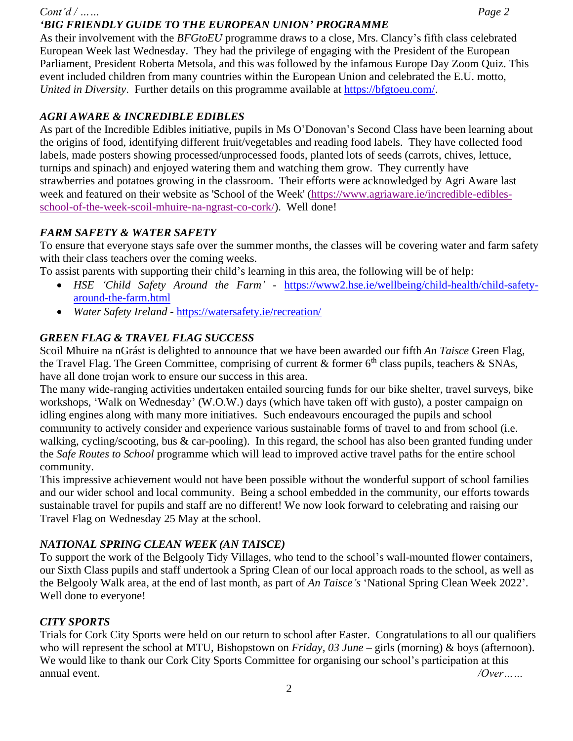#### *Cont'd / …… Page 2 'BIG FRIENDLY GUIDE TO THE EUROPEAN UNION' PROGRAMME*

As their involvement with the *BFGtoEU* programme draws to a close, Mrs. Clancy's fifth class celebrated European Week last Wednesday. They had the privilege of engaging with the President of the European Parliament, President Roberta Metsola, and this was followed by the infamous Europe Day Zoom Quiz. This event included children from many countries within the European Union and celebrated the E.U. motto, *United in Diversity*. Further details on this programme available at [https://bfgtoeu.com/.](https://bfgtoeu.com/)

# *AGRI AWARE & INCREDIBLE EDIBLES*

As part of the Incredible Edibles initiative, pupils in Ms O'Donovan's Second Class have been learning about the origins of food, identifying different fruit/vegetables and reading food labels. They have collected food labels, made posters showing processed/unprocessed foods, planted lots of seeds (carrots, chives, lettuce, turnips and spinach) and enjoyed watering them and watching them grow. They currently have strawberries and potatoes growing in the classroom. Their efforts were acknowledged by Agri Aware last week and featured on their website as 'School of the Week' [\(https://www.agriaware.ie/incredible-edibles](https://www.agriaware.ie/incredible-edibles-school-of-the-week-scoil-mhuire-na-ngrast-co-cork/)[school-of-the-week-scoil-mhuire-na-ngrast-co-cork/\)](https://www.agriaware.ie/incredible-edibles-school-of-the-week-scoil-mhuire-na-ngrast-co-cork/). Well done!

# *FARM SAFETY & WATER SAFETY*

To ensure that everyone stays safe over the summer months, the classes will be covering water and farm safety with their class teachers over the coming weeks.

To assist parents with supporting their child's learning in this area, the following will be of help:

- *HSE 'Child Safety Around the Farm'* [https://www2.hse.ie/wellbeing/child-health/child-safety](https://www2.hse.ie/wellbeing/child-health/child-safety-around-the-farm.html)[around-the-farm.html](https://www2.hse.ie/wellbeing/child-health/child-safety-around-the-farm.html)
- *Water Safety Ireland* <https://watersafety.ie/recreation/>

# *GREEN FLAG & TRAVEL FLAG SUCCESS*

Scoil Mhuire na nGrást is delighted to announce that we have been awarded our fifth *An Taisce* Green Flag, the Travel Flag. The Green Committee, comprising of current  $&$  former  $6<sup>th</sup>$  class pupils, teachers  $&$  SNAs, have all done trojan work to ensure our success in this area.

The many wide-ranging activities undertaken entailed sourcing funds for our bike shelter, travel surveys, bike workshops, 'Walk on Wednesday' (W.O.W.) days (which have taken off with gusto), a poster campaign on idling engines along with many more initiatives. Such endeavours encouraged the pupils and school community to actively consider and experience various sustainable forms of travel to and from school (i.e. walking, cycling/scooting, bus & car-pooling). In this regard, the school has also been granted funding under the *Safe Routes to School* programme which will lead to improved active travel paths for the entire school community.

This impressive achievement would not have been possible without the wonderful support of school families and our wider school and local community. Being a school embedded in the community, our efforts towards sustainable travel for pupils and staff are no different! We now look forward to celebrating and raising our Travel Flag on Wednesday 25 May at the school.

# *NATIONAL SPRING CLEAN WEEK (AN TAISCE)*

To support the work of the Belgooly Tidy Villages, who tend to the school's wall-mounted flower containers, our Sixth Class pupils and staff undertook a Spring Clean of our local approach roads to the school, as well as the Belgooly Walk area, at the end of last month, as part of *An Taisce's* 'National Spring Clean Week 2022'. Well done to everyone!

# *CITY SPORTS*

Trials for Cork City Sports were held on our return to school after Easter. Congratulations to all our qualifiers who will represent the school at MTU, Bishopstown on *Friday, 03 June* – girls (morning) & boys (afternoon). We would like to thank our Cork City Sports Committee for organising our school's participation at this annual event. */Over……*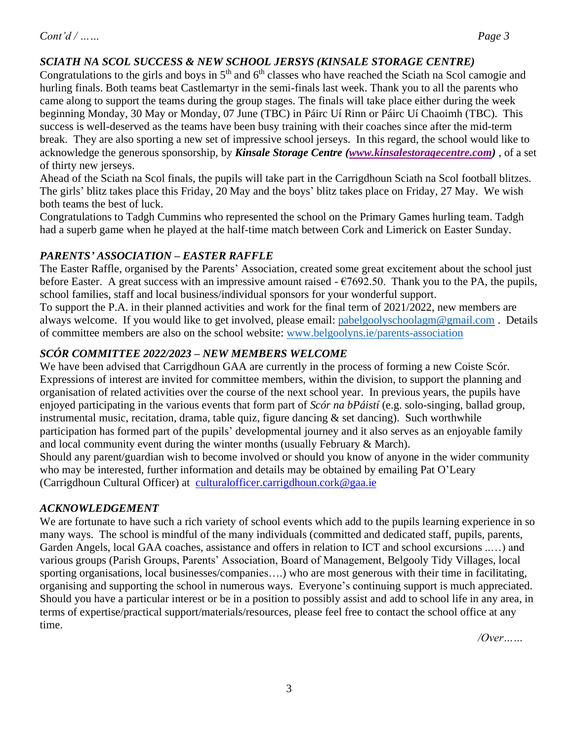# *SCIATH NA SCOL SUCCESS & NEW SCHOOL JERSYS (KINSALE STORAGE CENTRE)*

Congratulations to the girls and boys in  $5<sup>th</sup>$  and  $6<sup>th</sup>$  classes who have reached the Sciath na Scol camogie and hurling finals. Both teams beat Castlemartyr in the semi-finals last week. Thank you to all the parents who came along to support the teams during the group stages. The finals will take place either during the week beginning Monday, 30 May or Monday, 07 June (TBC) in Páirc Uí Rinn or Páirc Uí Chaoimh (TBC). This success is well-deserved as the teams have been busy training with their coaches since after the mid-term break. They are also sporting a new set of impressive school jerseys. In this regard, the school would like to acknowledge the generous sponsorship, by *Kinsale Storage Centre [\(www.kinsalestoragecentre.com\)](http://www.kinsalestoragecentre.com/)* , of a set of thirty new jerseys.

Ahead of the Sciath na Scol finals, the pupils will take part in the Carrigdhoun Sciath na Scol football blitzes. The girls' blitz takes place this Friday, 20 May and the boys' blitz takes place on Friday, 27 May. We wish both teams the best of luck.

Congratulations to Tadgh Cummins who represented the school on the Primary Games hurling team. Tadgh had a superb game when he played at the half-time match between Cork and Limerick on Easter Sunday.

### *PARENTS' ASSOCIATION – EASTER RAFFLE*

The Easter Raffle, organised by the Parents' Association, created some great excitement about the school just before Easter. A great success with an impressive amount raised  $- \epsilon$ 7692.50. Thank you to the PA, the pupils, school families, staff and local business/individual sponsors for your wonderful support.

To support the P.A. in their planned activities and work for the final term of 2021/2022, new members are always welcome. If you would like to get involved, please email: [pabelgoolyschoolagm@gmail.com](mailto:pabelgoolyschoolagm@gmail.com) . Details of committee members are also on the school website: [www.belgoolyns.ie/parents-association](http://www.belgoolyns.ie/parents-association)

# *SCÓR COMMITTEE 2022/2023 – NEW MEMBERS WELCOME*

We have been advised that Carrigdhoun GAA are currently in the process of forming a new Coiste Scór. Expressions of interest are invited for committee members, within the division, to support the planning and organisation of related activities over the course of the next school year. In previous years, the pupils have enjoyed participating in the various events that form part of *Scór na bPáistí* (e.g. solo-singing, ballad group, instrumental music, recitation, drama, table quiz, figure dancing  $\&$  set dancing). Such worthwhile participation has formed part of the pupils' developmental journey and it also serves as an enjoyable family and local community event during the winter months (usually February & March). Should any parent/guardian wish to become involved or should you know of anyone in the wider community who may be interested, further information and details may be obtained by emailing Pat O'Leary (Carrigdhoun Cultural Officer) at [culturalofficer.carrigdhoun.cork@gaa.ie](mailto:culturalofficer.carrigdhoun.cork@gaa.ie)

#### *ACKNOWLEDGEMENT*

We are fortunate to have such a rich variety of school events which add to the pupils learning experience in so many ways. The school is mindful of the many individuals (committed and dedicated staff, pupils, parents, Garden Angels, local GAA coaches, assistance and offers in relation to ICT and school excursions ..…) and various groups (Parish Groups, Parents' Association, Board of Management, Belgooly Tidy Villages, local sporting organisations, local businesses/companies....) who are most generous with their time in facilitating, organising and supporting the school in numerous ways. Everyone's continuing support is much appreciated. Should you have a particular interest or be in a position to possibly assist and add to school life in any area, in terms of expertise/practical support/materials/resources, please feel free to contact the school office at any time.

*/Over……*